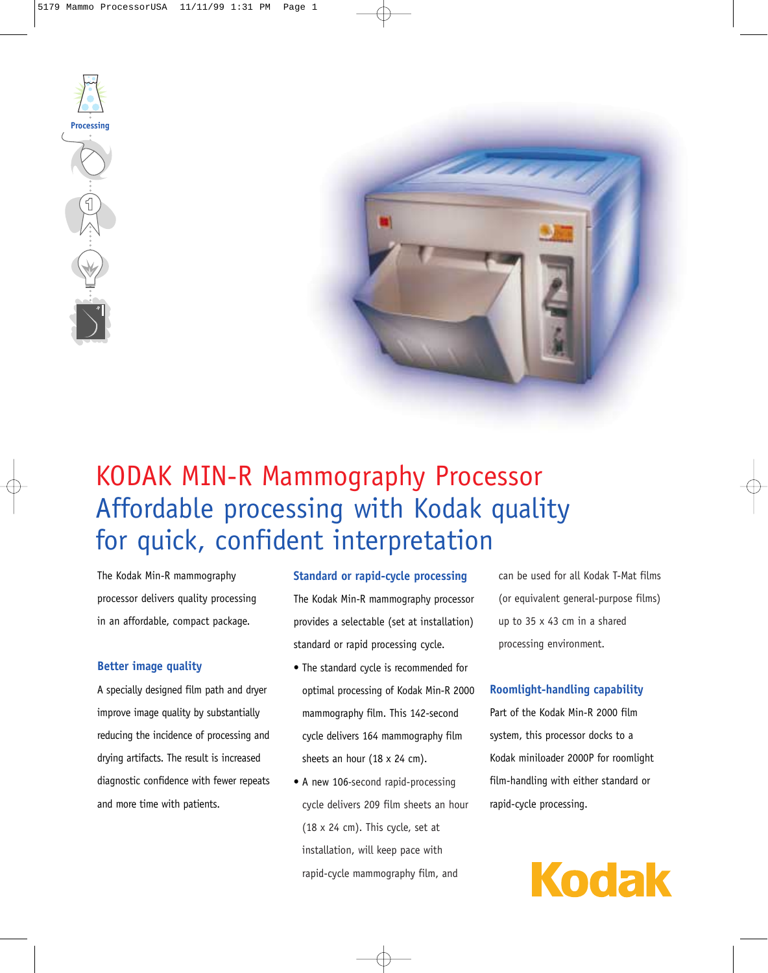



# KODAK MIN-R Mammography Processor Affordable processing with Kodak quality for quick, confident interpretation

The Kodak Min-R mammography processor delivers quality processing in an affordable, compact package.

## **Better image quality**

A specially designed film path and dryer improve image quality by substantially reducing the incidence of processing and drying artifacts. The result is increased diagnostic confidence with fewer repeats and more time with patients.

## **Standard or rapid-cycle processing**

The Kodak Min-R mammography processor provides a selectable (set at installation) standard or rapid processing cycle.

- The standard cycle is recommended for optimal processing of Kodak Min-R 2000 mammography film. This 142-second cycle delivers 164 mammography film sheets an hour (18 x 24 cm).
- A new 106*-*second rapid-processing cycle delivers 209 film sheets an hour (18 x 24 cm). This cycle, set at installation, will keep pace with rapid-cycle mammography film, and

can be used for all Kodak T-Mat films (or equivalent general-purpose films) up to 35 x 43 cm in a shared processing environment.

# **Roomlight-handling capability**

Part of the Kodak Min-R 2000 film system, this processor docks to a Kodak miniloader 2000P for roomlight film-handling with either standard or rapid-cycle processing.